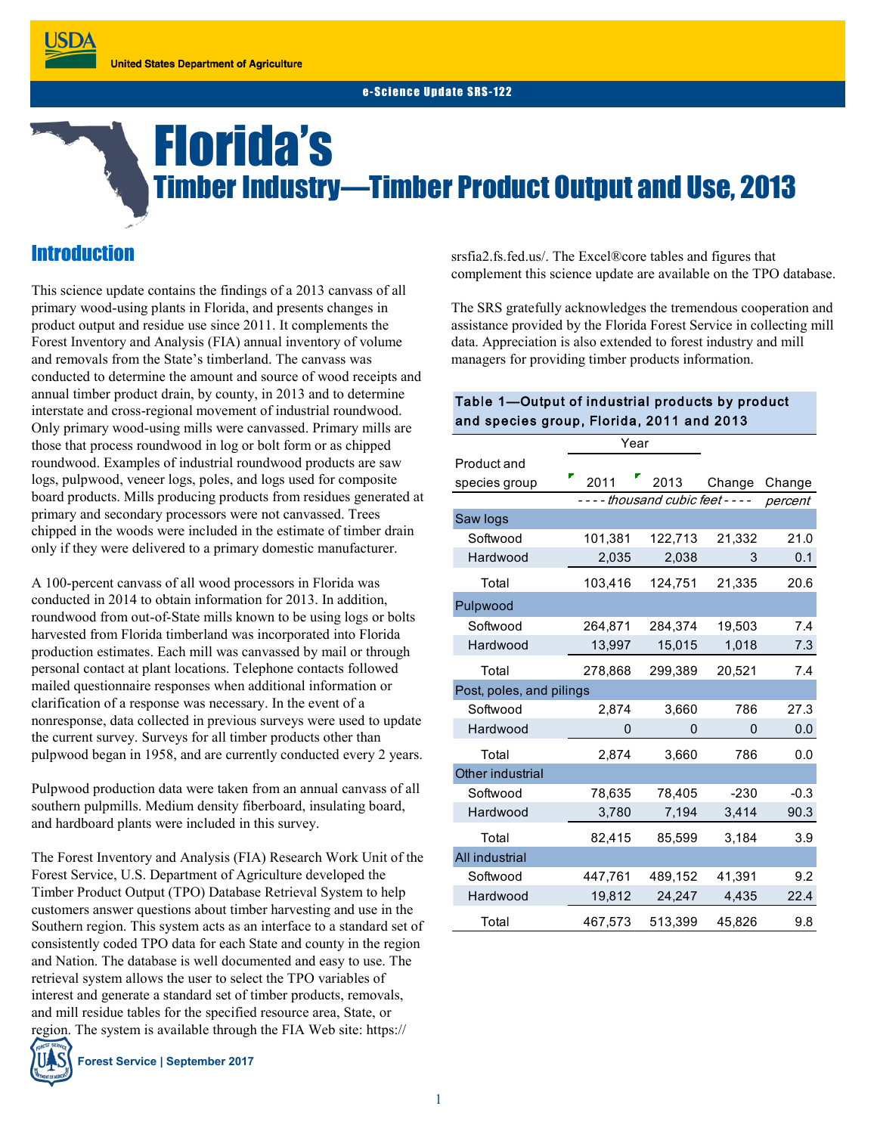## Florida's Timber Industry—Timber Product Output and Use, 2013

## **Introduction**

This science update contains the findings of a 2013 canvass of all primary wood-using plants in Florida, and presents changes in product output and residue use since 2011. It complements the Forest Inventory and Analysis (FIA) annual inventory of volume and removals from the State's timberland. The canvass was conducted to determine the amount and source of wood receipts and annual timber product drain, by county, in 2013 and to determine interstate and cross-regional movement of industrial roundwood. Only primary wood-using mills were canvassed. Primary mills are those that process roundwood in log or bolt form or as chipped roundwood. Examples of industrial roundwood products are saw logs, pulpwood, veneer logs, poles, and logs used for composite board products. Mills producing products from residues generated at primary and secondary processors were not canvassed. Trees chipped in the woods were included in the estimate of timber drain only if they were delivered to a primary domestic manufacturer.

A 100-percent canvass of all wood processors in Florida was conducted in 2014 to obtain information for 2013. In addition, roundwood from out-of-State mills known to be using logs or bolts harvested from Florida timberland was incorporated into Florida production estimates. Each mill was canvassed by mail or through personal contact at plant locations. Telephone contacts followed mailed questionnaire responses when additional information or clarification of a response was necessary. In the event of a nonresponse, data collected in previous surveys were used to update the current survey. Surveys for all timber products other than pulpwood began in 1958, and are currently conducted every 2 years.

Pulpwood production data were taken from an annual canvass of all southern pulpmills. Medium density fiberboard, insulating board, and hardboard plants were included in this survey.

The Forest Inventory and Analysis (FIA) Research Work Unit of the Forest Service, U.S. Department of Agriculture developed the Timber Product Output (TPO) Database Retrieval System to help customers answer questions about timber harvesting and use in the Southern region. This system acts as an interface to a standard set of consistently coded TPO data for each State and county in the region and Nation. The database is well documented and easy to use. The retrieval system allows the user to select the TPO variables of interest and generate a standard set of timber products, removals, and mill residue tables for the specified resource area, State, or region. The system is available through the FIA Web site: https://

**Forest Service | September 2017**

srsfia2.fs.fed.us/. The Excel®core tables and figures that complement this science update are available on the TPO database.

The SRS gratefully acknowledges the tremendous cooperation and assistance provided by the Florida Forest Service in collecting mill data. Appreciation is also extended to forest industry and mill managers for providing timber products information.

#### Table 1—Output of industrial products by product and species group, Florida, 2011 and 2013

|                          | Year                          |         |        |         |
|--------------------------|-------------------------------|---------|--------|---------|
| Product and              |                               |         |        |         |
| species group            | 2011                          | 2013    | Change | Change  |
|                          | ---- thousand cubic feet ---- |         |        | percent |
| Saw logs                 |                               |         |        |         |
| Softwood                 | 101,381                       | 122,713 | 21,332 | 21.0    |
| Hardwood                 | 2,035                         | 2,038   | 3      | 0.1     |
| Total                    | 103,416                       | 124,751 | 21,335 | 20.6    |
| Pulpwood                 |                               |         |        |         |
| Softwood                 | 264,871                       | 284,374 | 19,503 | 7.4     |
| Hardwood                 | 13,997                        | 15,015  | 1,018  | 7.3     |
| Total                    | 278,868                       | 299,389 | 20,521 | 7.4     |
| Post, poles, and pilings |                               |         |        |         |
| Softwood                 | 2,874                         | 3,660   | 786    | 27.3    |
| Hardwood                 | 0                             | 0       | 0      | 0.0     |
| Total                    | 2,874                         | 3,660   | 786    | 0.0     |
| Other industrial         |                               |         |        |         |
| Softwood                 | 78,635                        | 78,405  | $-230$ | $-0.3$  |
| Hardwood                 | 3,780                         | 7,194   | 3,414  | 90.3    |
| Total                    | 82,415                        | 85,599  | 3,184  | 3.9     |
| All industrial           |                               |         |        |         |
| Softwood                 | 447.761                       | 489,152 | 41,391 | 9.2     |
| Hardwood                 | 19,812                        | 24,247  | 4,435  | 22.4    |
| Total                    | 467,573                       | 513,399 | 45,826 | 9.8     |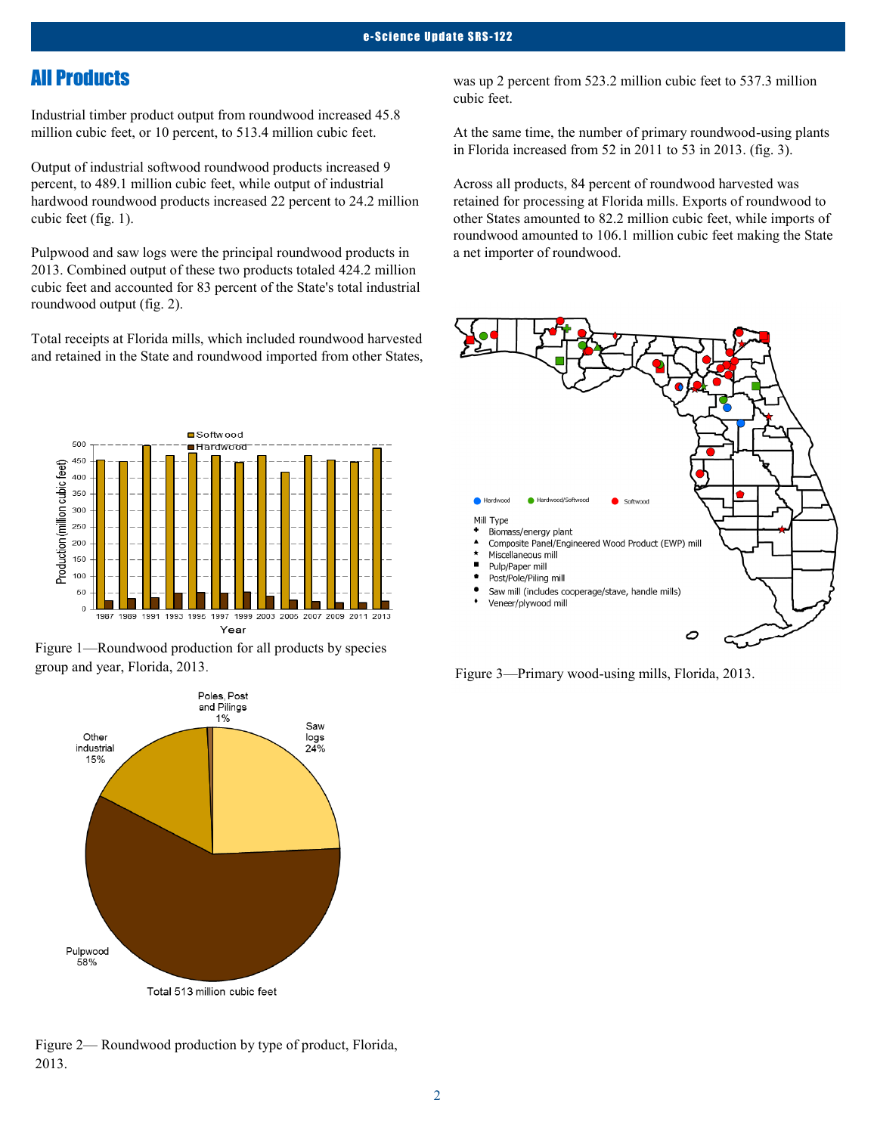## All Products

Industrial timber product output from roundwood increased 45.8 million cubic feet, or 10 percent, to 513.4 million cubic feet.

Output of industrial softwood roundwood products increased 9 percent, to 489.1 million cubic feet, while output of industrial hardwood roundwood products increased 22 percent to 24.2 million cubic feet (fig. 1).

Pulpwood and saw logs were the principal roundwood products in 2013. Combined output of these two products totaled 424.2 million cubic feet and accounted for 83 percent of the State's total industrial roundwood output (fig. 2).

Total receipts at Florida mills, which included roundwood harvested and retained in the State and roundwood imported from other States,







Figure 2— Roundwood production by type of product, Florida, 2013.

was up 2 percent from 523.2 million cubic feet to 537.3 million cubic feet.

At the same time, the number of primary roundwood-using plants in Florida increased from 52 in 2011 to 53 in 2013. (fig. 3).

Across all products, 84 percent of roundwood harvested was retained for processing at Florida mills. Exports of roundwood to other States amounted to 82.2 million cubic feet, while imports of roundwood amounted to 106.1 million cubic feet making the State a net importer of roundwood.



Figure 3—Primary wood-using mills, Florida, 2013.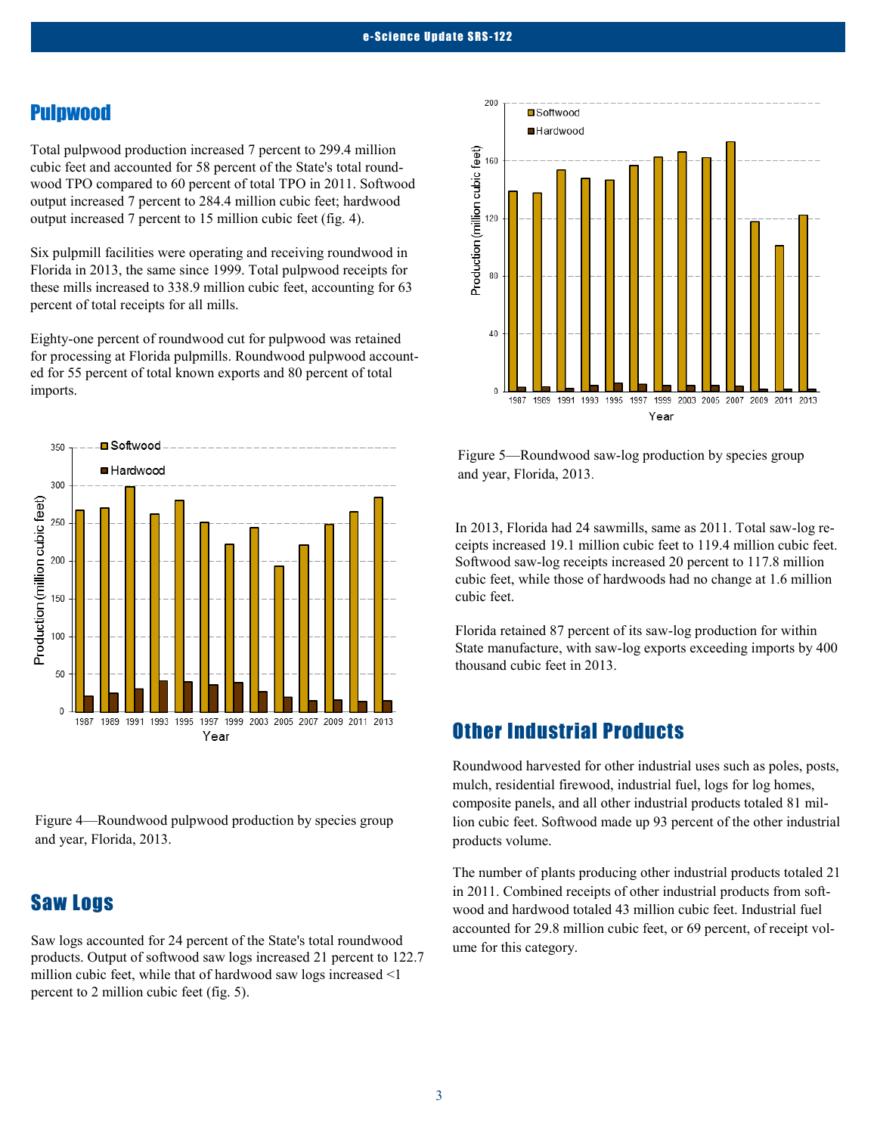#### Pulpwood

Total pulpwood production increased 7 percent to 299.4 million cubic feet and accounted for 58 percent of the State's total roundwood TPO compared to 60 percent of total TPO in 2011. Softwood output increased 7 percent to 284.4 million cubic feet; hardwood output increased 7 percent to 15 million cubic feet (fig. 4).

Six pulpmill facilities were operating and receiving roundwood in Florida in 2013, the same since 1999. Total pulpwood receipts for these mills increased to 338.9 million cubic feet, accounting for 63 percent of total receipts for all mills.

Eighty-one percent of roundwood cut for pulpwood was retained for processing at Florida pulpmills. Roundwood pulpwood accounted for 55 percent of total known exports and 80 percent of total imports.



Figure 4—Roundwood pulpwood production by species group and year, Florida, 2013.

## Saw Logs

Saw logs accounted for 24 percent of the State's total roundwood products. Output of softwood saw logs increased 21 percent to 122.7 million cubic feet, while that of hardwood saw logs increased <1 percent to 2 million cubic feet (fig. 5).



Figure 5—Roundwood saw-log production by species group and year, Florida, 2013.

In 2013, Florida had 24 sawmills, same as 2011. Total saw-log receipts increased 19.1 million cubic feet to 119.4 million cubic feet. Softwood saw-log receipts increased 20 percent to 117.8 million cubic feet, while those of hardwoods had no change at 1.6 million cubic feet.

Florida retained 87 percent of its saw-log production for within State manufacture, with saw-log exports exceeding imports by 400 thousand cubic feet in 2013.

### Other Industrial Products

Roundwood harvested for other industrial uses such as poles, posts, mulch, residential firewood, industrial fuel, logs for log homes, composite panels, and all other industrial products totaled 81 million cubic feet. Softwood made up 93 percent of the other industrial products volume.

The number of plants producing other industrial products totaled 21 in 2011. Combined receipts of other industrial products from softwood and hardwood totaled 43 million cubic feet. Industrial fuel accounted for 29.8 million cubic feet, or 69 percent, of receipt volume for this category.